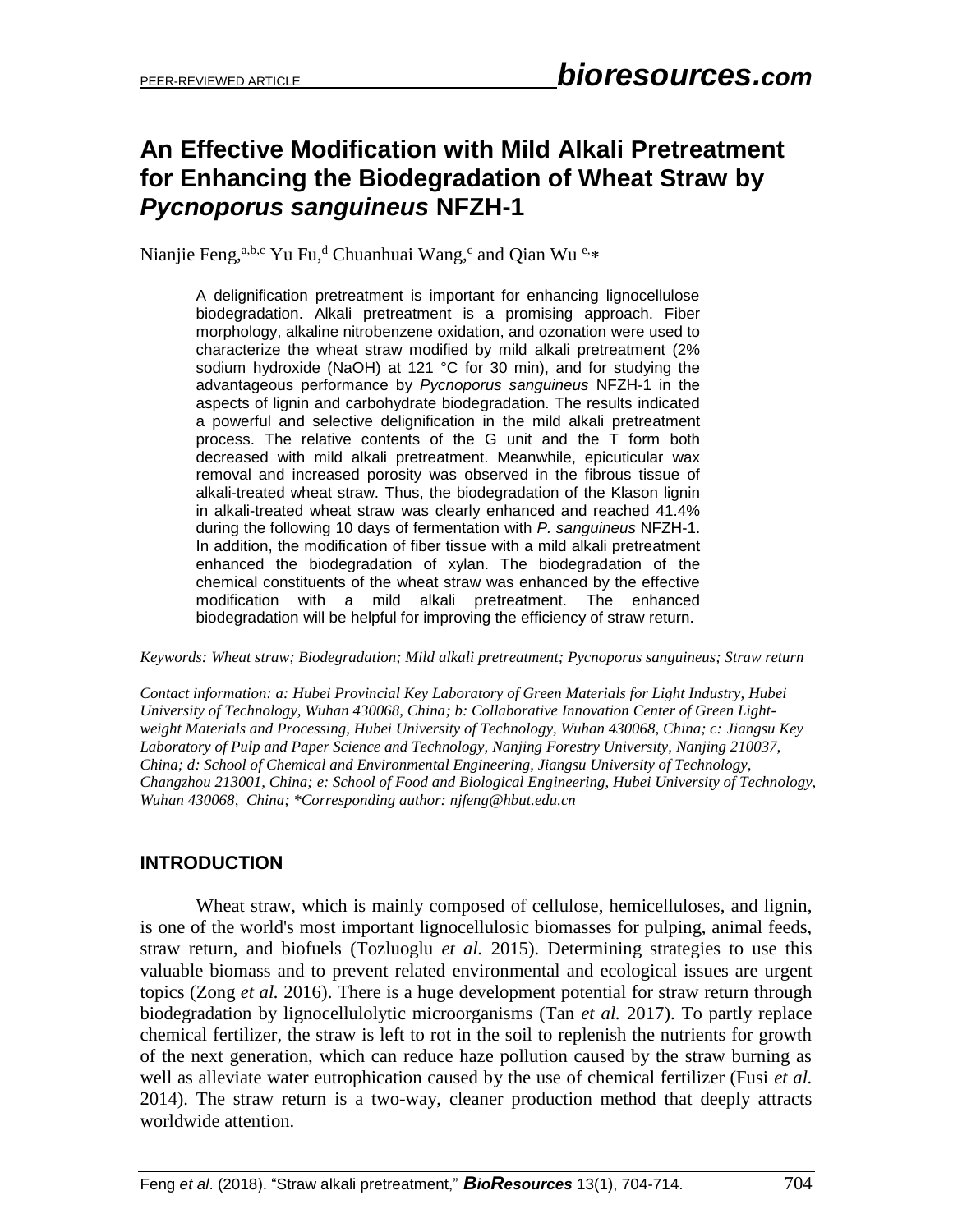# **An Effective Modification with Mild Alkali Pretreatment for Enhancing the Biodegradation of Wheat Straw by**  *Pycnoporus sanguineus* **NFZH-1**

Nianjie Feng,<sup>a,b,c</sup> Yu Fu,<sup>d</sup> Chuanhuai Wang,<sup>c</sup> and Qian Wu e,\*

A delignification pretreatment is important for enhancing lignocellulose biodegradation. Alkali pretreatment is a promising approach. Fiber morphology, alkaline nitrobenzene oxidation, and ozonation were used to characterize the wheat straw modified by mild alkali pretreatment (2% sodium hydroxide (NaOH) at 121 °C for 30 min), and for studying the advantageous performance by *Pycnoporus sanguineus* NFZH-1 in the aspects of lignin and carbohydrate biodegradation. The results indicated a powerful and selective delignification in the mild alkali pretreatment process. The relative contents of the G unit and the T form both decreased with mild alkali pretreatment. Meanwhile, epicuticular wax removal and increased porosity was observed in the fibrous tissue of alkali-treated wheat straw. Thus, the biodegradation of the Klason lignin in alkali-treated wheat straw was clearly enhanced and reached 41.4% during the following 10 days of fermentation with *P. sanguineus* NFZH-1. In addition, the modification of fiber tissue with a mild alkali pretreatment enhanced the biodegradation of xylan. The biodegradation of the chemical constituents of the wheat straw was enhanced by the effective modification with a mild alkali pretreatment. The enhanced biodegradation will be helpful for improving the efficiency of straw return.

*Keywords: Wheat straw; Biodegradation; Mild alkali pretreatment; Pycnoporus sanguineus; Straw return*

*Contact information: a: Hubei Provincial Key Laboratory of Green Materials for Light Industry, Hubei University of Technology, Wuhan 430068, China; b: Collaborative Innovation Center of Green Lightweight Materials and Processing, Hubei University of Technology, Wuhan 430068, China; c: Jiangsu Key Laboratory of Pulp and Paper Science and Technology, Nanjing Forestry University, Nanjing 210037, China; d: School of Chemical and Environmental Engineering, Jiangsu University of Technology, Changzhou 213001, China; e: School of Food and Biological Engineering, Hubei University of Technology, Wuhan 430068, China; \*Corresponding author: njfeng@hbut.edu.cn*

# **INTRODUCTION**

Wheat straw, which is mainly composed of cellulose, hemicelluloses, and lignin, is one of the world's most important lignocellulosic biomasses for pulping, animal feeds, straw return, and biofuels (Tozluoglu *et al.* 2015). Determining strategies to use this valuable biomass and to prevent related environmental and ecological issues are urgent topics (Zong *et al.* 2016). There is a huge development potential for straw return through biodegradation by lignocellulolytic microorganisms (Tan *et al.* 2017). To partly replace chemical fertilizer, the straw is left to rot in the soil to replenish the nutrients for growth of the next generation, which can reduce haze pollution caused by the straw burning as well as alleviate water eutrophication caused by the use of chemical fertilizer (Fusi *et al.* 2014). The straw return is a two-way, cleaner production method that deeply attracts worldwide attention.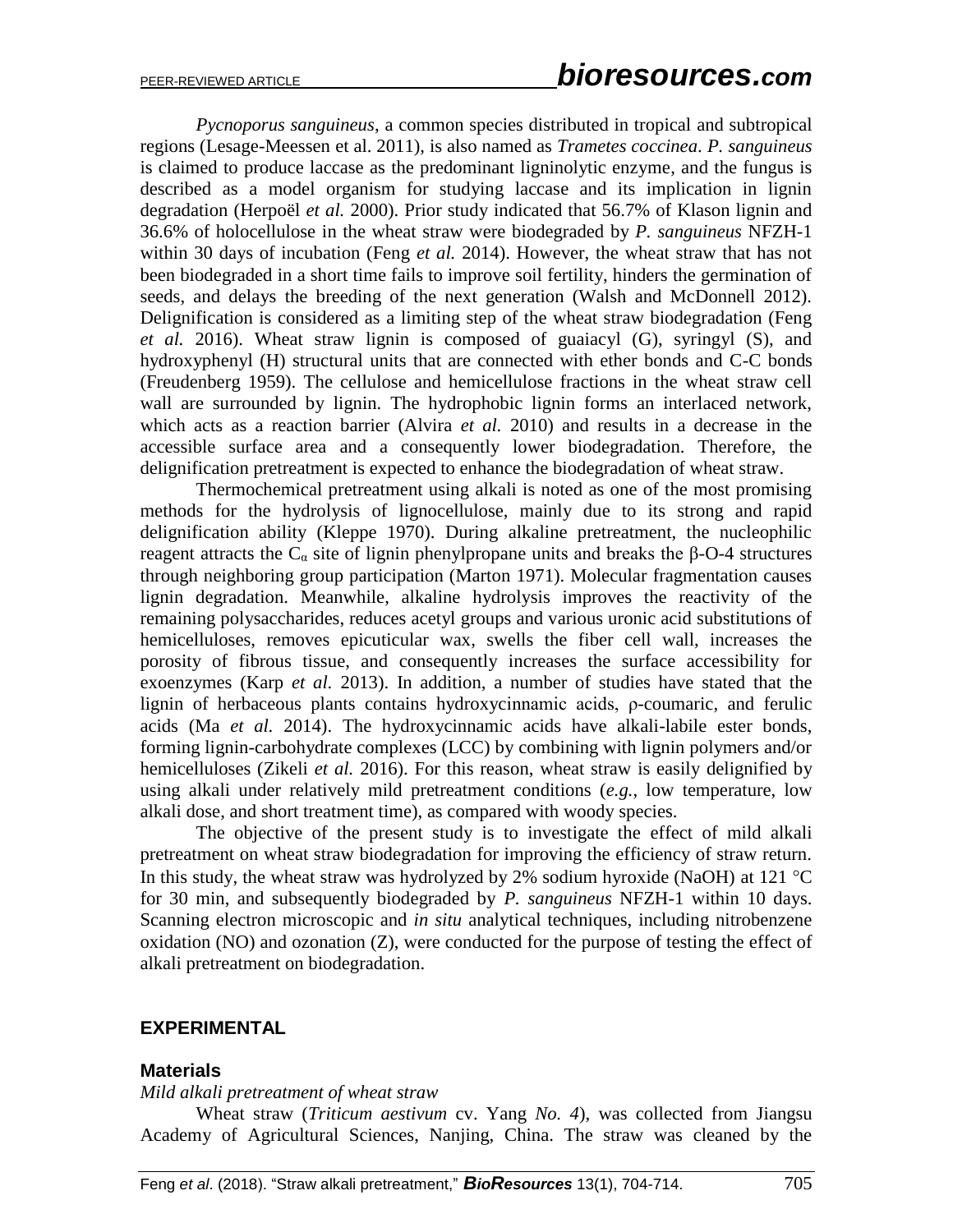*Pycnoporus sanguineus*, a common species distributed in tropical and subtropical regions (Lesage-Meessen et al. 2011), is also named as *Trametes coccinea*. *P. sanguineus* is claimed to produce laccase as the predominant ligninolytic enzyme, and the fungus is described as a model organism for studying laccase and its implication in lignin degradation (Herpoël *et al.* 2000). Prior study indicated that 56.7% of Klason lignin and 36.6% of holocellulose in the wheat straw were biodegraded by *P. sanguineus* NFZH-1 within 30 days of incubation (Feng *et al.* 2014). However, the wheat straw that has not been biodegraded in a short time fails to improve soil fertility, hinders the germination of seeds, and delays the breeding of the next generation (Walsh and McDonnell 2012). Delignification is considered as a limiting step of the wheat straw biodegradation (Feng *et al.* 2016). Wheat straw lignin is composed of guaiacyl (G), syringyl (S), and hydroxyphenyl (H) structural units that are connected with ether bonds and C-C bonds (Freudenberg 1959). The cellulose and hemicellulose fractions in the wheat straw cell wall are surrounded by lignin. The hydrophobic lignin forms an interlaced network, which acts as a reaction barrier (Alvira *et al.* 2010) and results in a decrease in the accessible surface area and a consequently lower biodegradation. Therefore, the delignification pretreatment is expected to enhance the biodegradation of wheat straw.

Thermochemical pretreatment using alkali is noted as one of the most promising methods for the hydrolysis of lignocellulose, mainly due to its strong and rapid delignification ability (Kleppe 1970). During alkaline pretreatment, the nucleophilic reagent attracts the  $C_α$  site of lignin phenylpropane units and breaks the β-O-4 structures through neighboring group participation (Marton 1971). Molecular fragmentation causes lignin degradation. Meanwhile, alkaline hydrolysis improves the reactivity of the remaining polysaccharides, reduces acetyl groups and various uronic acid substitutions of hemicelluloses, removes epicuticular wax, swells the fiber cell wall, increases the porosity of fibrous tissue, and consequently increases the surface accessibility for exoenzymes (Karp *et al.* 2013). In addition, a number of studies have stated that the lignin of herbaceous plants contains hydroxycinnamic acids, ρ-coumaric, and ferulic acids (Ma *et al.* 2014). The hydroxycinnamic acids have alkali-labile ester bonds, forming lignin-carbohydrate complexes (LCC) by combining with lignin polymers and/or hemicelluloses (Zikeli *et al.* 2016). For this reason, wheat straw is easily delignified by using alkali under relatively mild pretreatment conditions (*e.g.*, low temperature, low alkali dose, and short treatment time), as compared with woody species.

The objective of the present study is to investigate the effect of mild alkali pretreatment on wheat straw biodegradation for improving the efficiency of straw return. In this study, the wheat straw was hydrolyzed by 2% sodium hyroxide (NaOH) at 121  $^{\circ}$ C for 30 min, and subsequently biodegraded by *P. sanguineus* NFZH-1 within 10 days. Scanning electron microscopic and *in situ* analytical techniques, including nitrobenzene oxidation (NO) and ozonation (Z), were conducted for the purpose of testing the effect of alkali pretreatment on biodegradation.

### **EXPERIMENTAL**

#### **Materials**

#### *Mild alkali pretreatment of wheat straw*

Wheat straw (*Triticum aestivum* cv. Yang *No. 4*), was collected from Jiangsu Academy of Agricultural Sciences, Nanjing, China. The straw was cleaned by the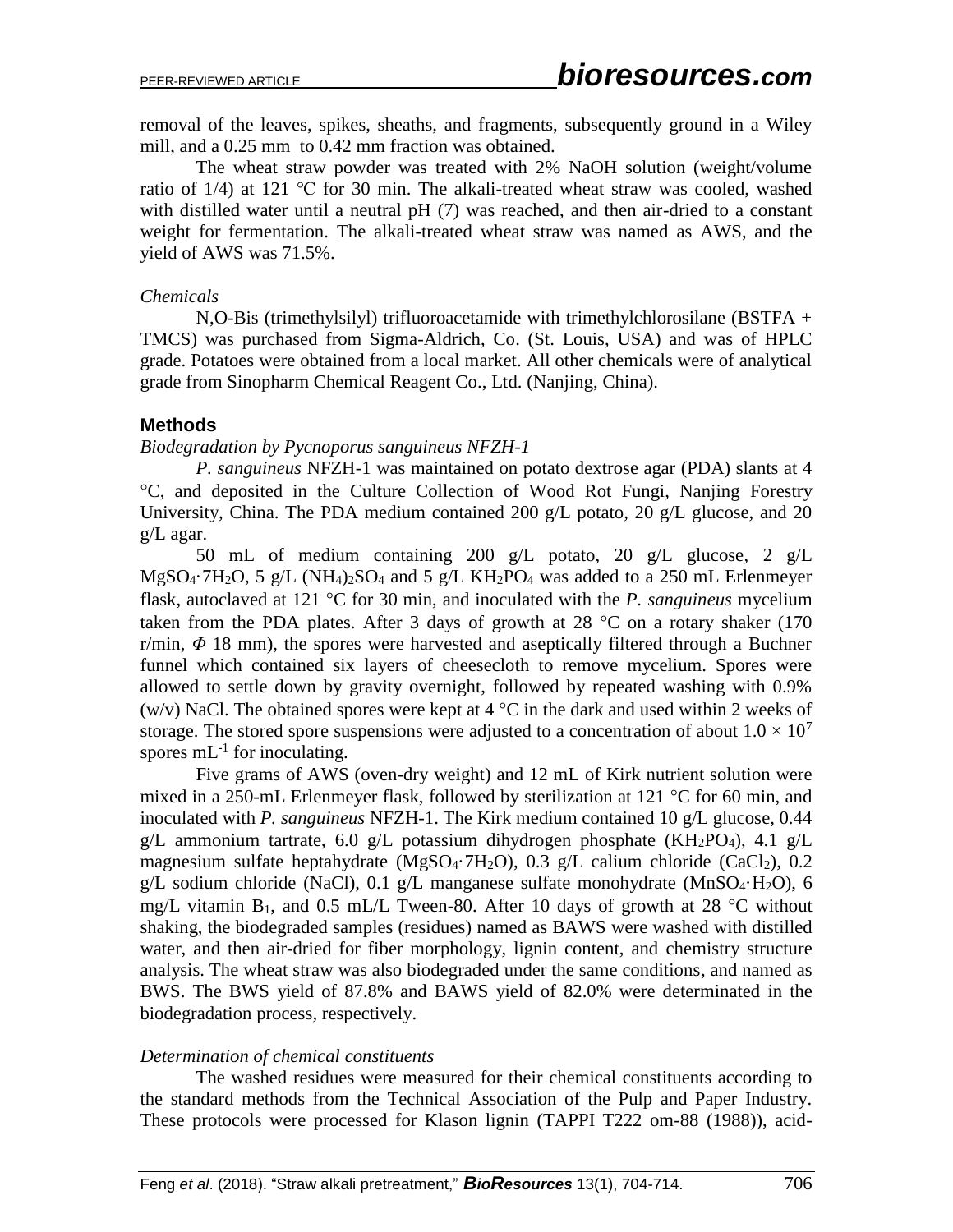removal of the leaves, spikes, sheaths, and fragments, subsequently ground in a Wiley mill, and a 0.25 mm to 0.42 mm fraction was obtained.

The wheat straw powder was treated with 2% NaOH solution (weight/volume ratio of 1/4) at 121 ℃ for 30 min. The alkali-treated wheat straw was cooled, washed with distilled water until a neutral pH  $(7)$  was reached, and then air-dried to a constant weight for fermentation. The alkali-treated wheat straw was named as AWS, and the yield of AWS was 71.5%.

### *Chemicals*

N,O-Bis (trimethylsilyl) trifluoroacetamide with trimethylchlorosilane (BSTFA + TMCS) was purchased from Sigma-Aldrich, Co. (St. Louis, USA) and was of HPLC grade. Potatoes were obtained from a local market. All other chemicals were of analytical grade from Sinopharm Chemical Reagent Co., Ltd. (Nanjing, China).

## **Methods**

## *Biodegradation by Pycnoporus sanguineus NFZH-1*

*P. sanguineus* NFZH-1 was maintained on potato dextrose agar (PDA) slants at 4 C, and deposited in the Culture Collection of Wood Rot Fungi, Nanjing Forestry University, China. The PDA medium contained 200 g/L potato, 20 g/L glucose, and 20 g/L agar.

50 mL of medium containing 200 g/L potato, 20 g/L glucose, 2 g/L  $MgSO_4$ <sup>-7</sup>H<sub>2</sub>O, 5 g/L (NH<sub>4</sub>)<sub>2</sub>SO<sub>4</sub> and 5 g/L KH<sub>2</sub>PO<sub>4</sub> was added to a 250 mL Erlenmeyer flask, autoclaved at 121  $\degree$ C for 30 min, and inoculated with the *P. sanguineus* mycelium taken from the PDA plates. After 3 days of growth at 28  $^{\circ}$ C on a rotary shaker (170 r/min,  $\Phi$  18 mm), the spores were harvested and aseptically filtered through a Buchner funnel which contained six layers of cheesecloth to remove mycelium. Spores were allowed to settle down by gravity overnight, followed by repeated washing with 0.9% (w/v) NaCl. The obtained spores were kept at  $4^{\circ}$ C in the dark and used within 2 weeks of storage. The stored spore suspensions were adjusted to a concentration of about  $1.0 \times 10^7$ spores  $mL^{-1}$  for inoculating.

Five grams of AWS (oven-dry weight) and 12 mL of Kirk nutrient solution were mixed in a 250-mL Erlenmeyer flask, followed by sterilization at 121  $\degree$ C for 60 min, and inoculated with *P. sanguineus* NFZH-1. The Kirk medium contained 10 g/L glucose, 0.44 g/L ammonium tartrate, 6.0 g/L potassium dihydrogen phosphate (KH<sub>2</sub>PO<sub>4</sub>), 4.1 g/L magnesium sulfate heptahydrate (MgSO<sub>4</sub>·7H<sub>2</sub>O), 0.3 g/L calium chloride (CaCl<sub>2</sub>), 0.2 g/L sodium chloride (NaCl), 0.1 g/L manganese sulfate monohydrate (MnSO<sub>4</sub>·H<sub>2</sub>O), 6 mg/L vitamin  $B_1$ , and 0.5 mL/L Tween-80. After 10 days of growth at 28 °C without shaking, the biodegraded samples (residues) named as BAWS were washed with distilled water, and then air-dried for fiber morphology, lignin content, and chemistry structure analysis. The wheat straw was also biodegraded under the same conditions, and named as BWS. The BWS yield of 87.8% and BAWS yield of 82.0% were determinated in the biodegradation process, respectively.

## *Determination of chemical constituents*

The washed residues were measured for their chemical constituents according to the standard methods from the Technical Association of the Pulp and Paper Industry. These protocols were processed for Klason lignin (TAPPI T222 om-88 (1988)), acid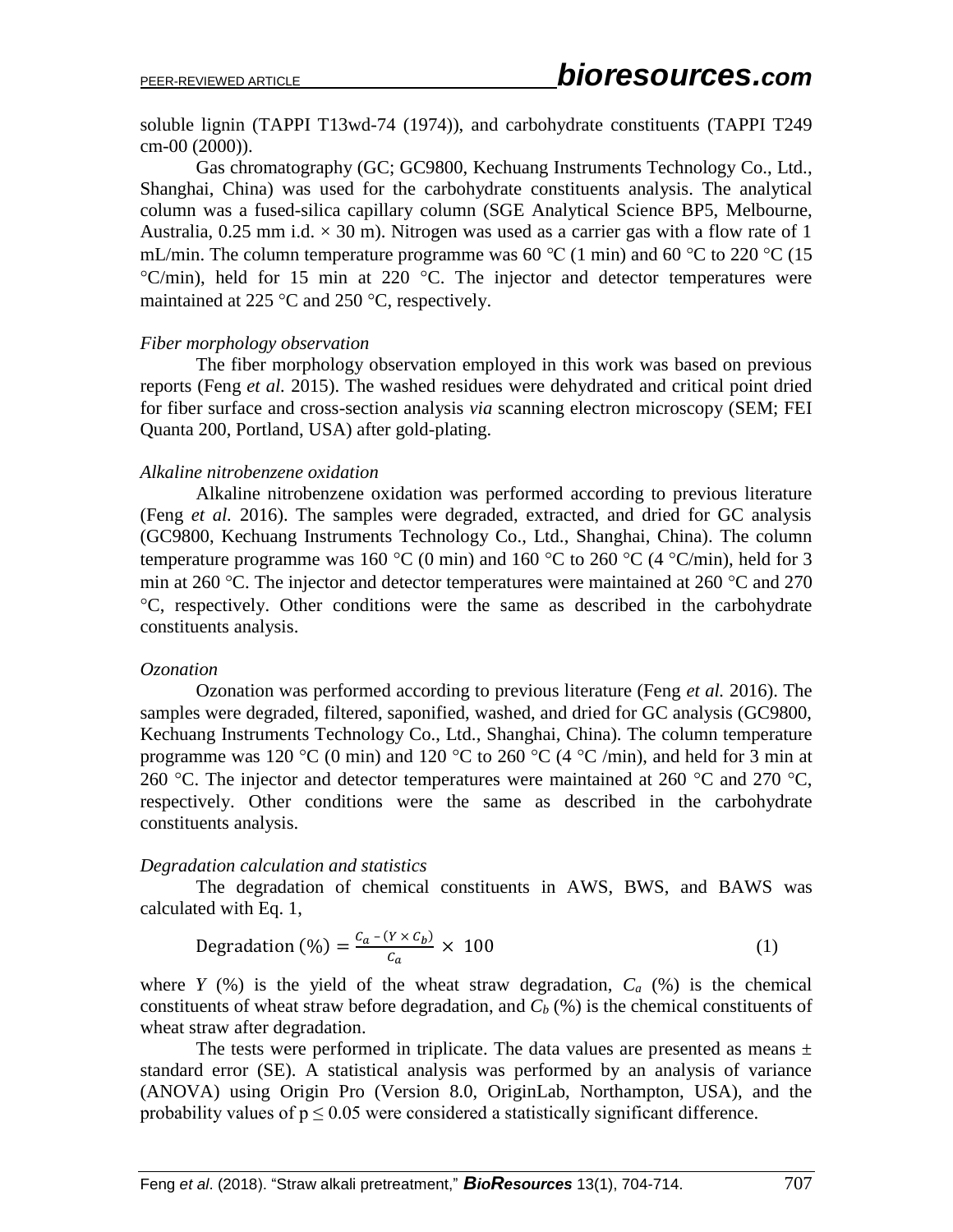soluble lignin (TAPPI T13wd-74 (1974)), and carbohydrate constituents (TAPPI T249 cm-00 (2000)).

Gas chromatography (GC; GC9800, Kechuang Instruments Technology Co., Ltd., Shanghai, China) was used for the carbohydrate constituents analysis. The analytical column was a fused-silica capillary column (SGE Analytical Science BP5, Melbourne, Australia,  $0.25$  mm i.d.  $\times$  30 m). Nitrogen was used as a carrier gas with a flow rate of 1 mL/min. The column temperature programme was 60 °C (1 min) and 60 °C to 220 °C (15  $\degree$ C/min), held for 15 min at 220  $\degree$ C. The injector and detector temperatures were maintained at 225  $\degree$ C and 250  $\degree$ C, respectively.

### *Fiber morphology observation*

The fiber morphology observation employed in this work was based on previous reports (Feng *et al.* 2015). The washed residues were dehydrated and critical point dried for fiber surface and cross-section analysis *via* scanning electron microscopy (SEM; FEI Quanta 200, Portland, USA) after gold-plating.

### *Alkaline nitrobenzene oxidation*

Alkaline nitrobenzene oxidation was performed according to previous literature (Feng *et al.* 2016). The samples were degraded, extracted, and dried for GC analysis (GC9800, Kechuang Instruments Technology Co., Ltd., Shanghai, China). The column temperature programme was 160 °C (0 min) and 160 °C to 260 °C (4 °C/min), held for 3 min at 260 °C. The injector and detector temperatures were maintained at 260 °C and 270 C, respectively. Other conditions were the same as described in the carbohydrate constituents analysis.

### *Ozonation*

Ozonation was performed according to previous literature (Feng *et al.* 2016). The samples were degraded, filtered, saponified, washed, and dried for GC analysis (GC9800, Kechuang Instruments Technology Co., Ltd., Shanghai, China). The column temperature programme was 120 °C (0 min) and 120 °C to 260 °C (4 °C /min), and held for 3 min at 260 °C. The injector and detector temperatures were maintained at 260 °C and 270 °C, respectively. Other conditions were the same as described in the carbohydrate constituents analysis.

### *Degradation calculation and statistics*

The degradation of chemical constituents in AWS, BWS, and BAWS was calculated with Eq. 1,

$$
\text{Degradation } (\%) = \frac{c_a - (Y \times c_b)}{c_a} \times 100 \tag{1}
$$

where *Y* (%) is the yield of the wheat straw degradation,  $C_a$  (%) is the chemical constituents of wheat straw before degradation, and  $C_b$  (%) is the chemical constituents of wheat straw after degradation.

The tests were performed in triplicate. The data values are presented as means  $\pm$ standard error (SE). A statistical analysis was performed by an analysis of variance (ANOVA) using Origin Pro (Version 8.0, OriginLab, Northampton, USA), and the probability values of  $p \leq 0.05$  were considered a statistically significant difference.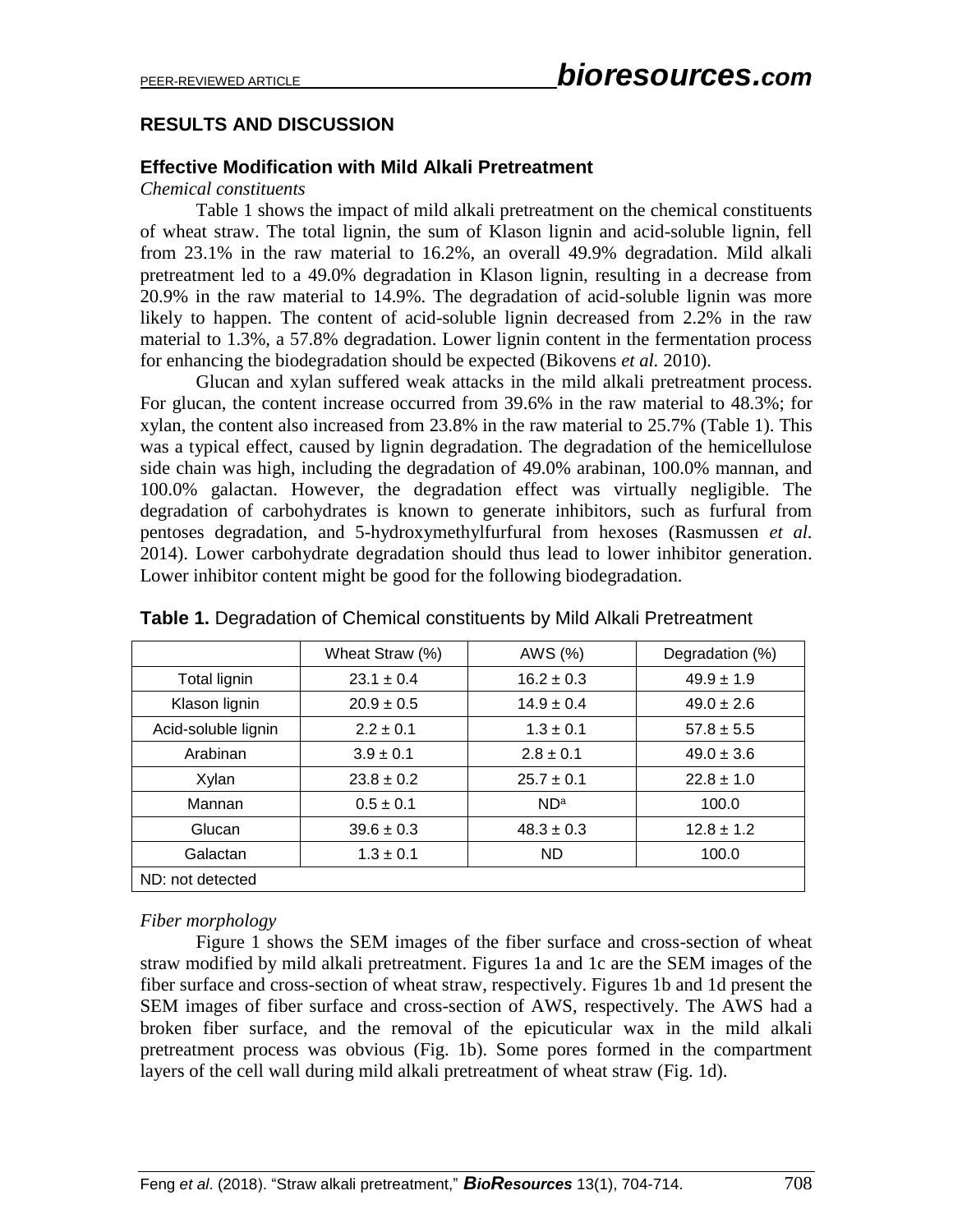# **RESULTS AND DISCUSSION**

### **Effective Modification with Mild Alkali Pretreatment**

### *Chemical constituents*

Table 1 shows the impact of mild alkali pretreatment on the chemical constituents of wheat straw. The total lignin, the sum of Klason lignin and acid-soluble lignin, fell from 23.1% in the raw material to 16.2%, an overall 49.9% degradation. Mild alkali pretreatment led to a 49.0% degradation in Klason lignin, resulting in a decrease from 20.9% in the raw material to 14.9%. The degradation of acid-soluble lignin was more likely to happen. The content of acid-soluble lignin decreased from 2.2% in the raw material to 1.3%, a 57.8% degradation. Lower lignin content in the fermentation process for enhancing the biodegradation should be expected (Bikovens *et al.* 2010).

Glucan and xylan suffered weak attacks in the mild alkali pretreatment process. For glucan, the content increase occurred from 39.6% in the raw material to 48.3%; for xylan, the content also increased from 23.8% in the raw material to 25.7% (Table 1). This was a typical effect, caused by lignin degradation. The degradation of the hemicellulose side chain was high, including the degradation of 49.0% arabinan, 100.0% mannan, and 100.0% galactan. However, the degradation effect was virtually negligible. The degradation of carbohydrates is known to generate inhibitors, such as furfural from pentoses degradation, and 5-hydroxymethylfurfural from hexoses (Rasmussen *et al.* 2014). Lower carbohydrate degradation should thus lead to lower inhibitor generation. Lower inhibitor content might be good for the following biodegradation.

|                     | Wheat Straw (%) | AWS (%)         | Degradation (%) |
|---------------------|-----------------|-----------------|-----------------|
| Total lignin        | $23.1 \pm 0.4$  | $16.2 \pm 0.3$  | $49.9 \pm 1.9$  |
| Klason lignin       | $20.9 \pm 0.5$  | $14.9 \pm 0.4$  | $49.0 \pm 2.6$  |
| Acid-soluble lignin | $2.2 \pm 0.1$   | $1.3 \pm 0.1$   | $57.8 \pm 5.5$  |
| Arabinan            | $3.9 \pm 0.1$   | $2.8 \pm 0.1$   | $49.0 \pm 3.6$  |
| Xylan               | $23.8 \pm 0.2$  | $25.7 + 0.1$    | $22.8 \pm 1.0$  |
| Mannan              | $0.5 + 0.1$     | ND <sup>a</sup> | 100.0           |
| Glucan              | $39.6 \pm 0.3$  | $48.3 \pm 0.3$  | $12.8 \pm 1.2$  |
| Galactan            | $1.3 \pm 0.1$   | <b>ND</b>       | 100.0           |
| ND: not detected    |                 |                 |                 |

**Table 1.** Degradation of Chemical constituents by Mild Alkali Pretreatment

## *Fiber morphology*

Figure 1 shows the SEM images of the fiber surface and cross-section of wheat straw modified by mild alkali pretreatment. Figures 1a and 1c are the SEM images of the fiber surface and cross-section of wheat straw, respectively. Figures 1b and 1d present the SEM images of fiber surface and cross-section of AWS, respectively. The AWS had a broken fiber surface, and the removal of the epicuticular wax in the mild alkali pretreatment process was obvious (Fig. 1b). Some pores formed in the compartment layers of the cell wall during mild alkali pretreatment of wheat straw (Fig. 1d).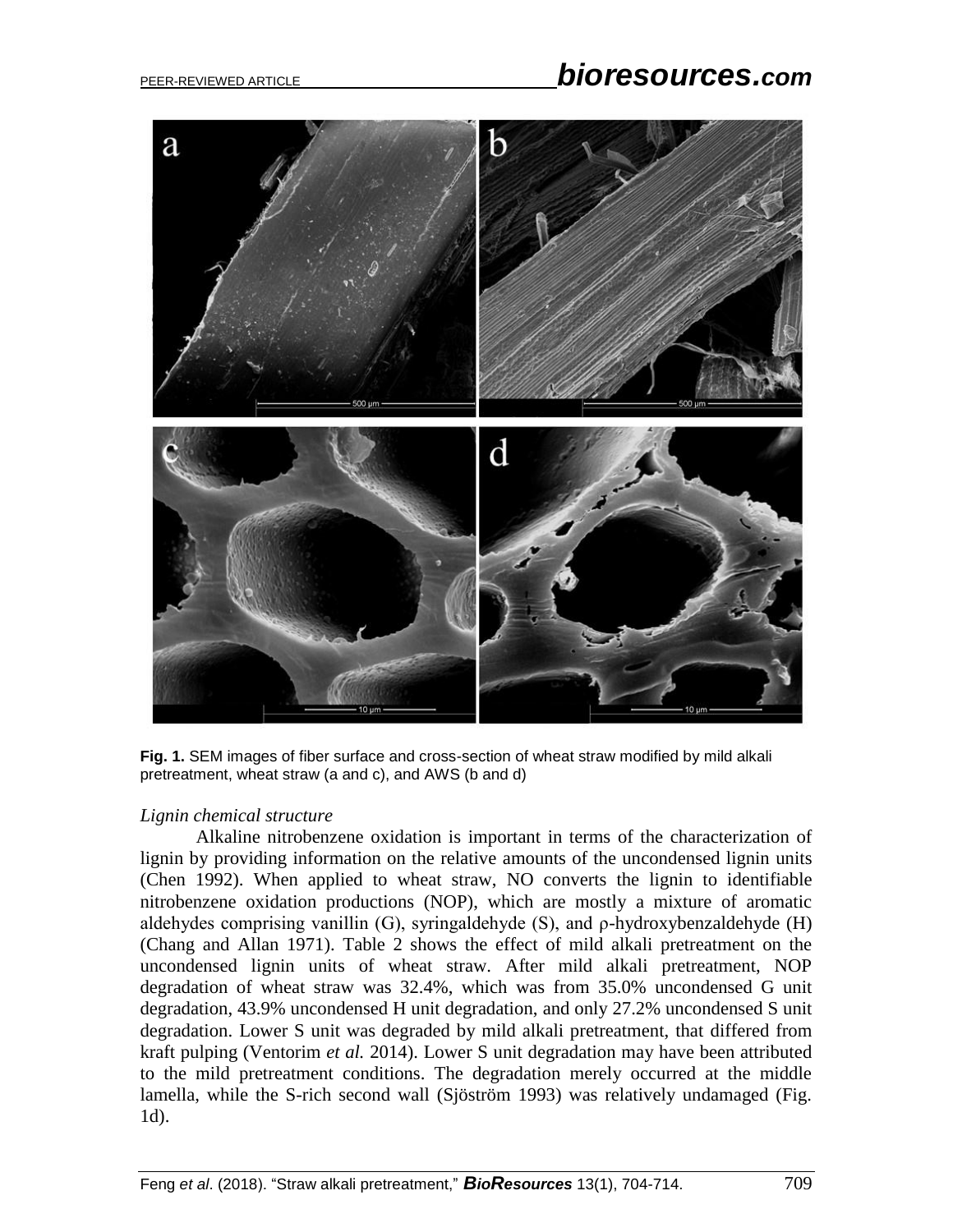# PEER-REVIEWED ARTICLE *bioresources.com*



**Fig. 1.** SEM images of fiber surface and cross-section of wheat straw modified by mild alkali pretreatment, wheat straw (a and c), and AWS (b and d)

## *Lignin chemical structure*

Alkaline nitrobenzene oxidation is important in terms of the characterization of lignin by providing information on the relative amounts of the uncondensed lignin units (Chen 1992). When applied to wheat straw, NO converts the lignin to identifiable nitrobenzene oxidation productions (NOP), which are mostly a mixture of aromatic aldehydes comprising vanillin (G), syringaldehyde (S), and ρ-hydroxybenzaldehyde (H) (Chang and Allan 1971). Table 2 shows the effect of mild alkali pretreatment on the uncondensed lignin units of wheat straw. After mild alkali pretreatment, NOP degradation of wheat straw was 32.4%, which was from 35.0% uncondensed G unit degradation, 43.9% uncondensed H unit degradation, and only 27.2% uncondensed S unit degradation. Lower S unit was degraded by mild alkali pretreatment, that differed from kraft pulping (Ventorim *et al.* 2014). Lower S unit degradation may have been attributed to the mild pretreatment conditions. The degradation merely occurred at the middle lamella, while the S-rich second wall (Sjöström 1993) was relatively undamaged (Fig. 1d).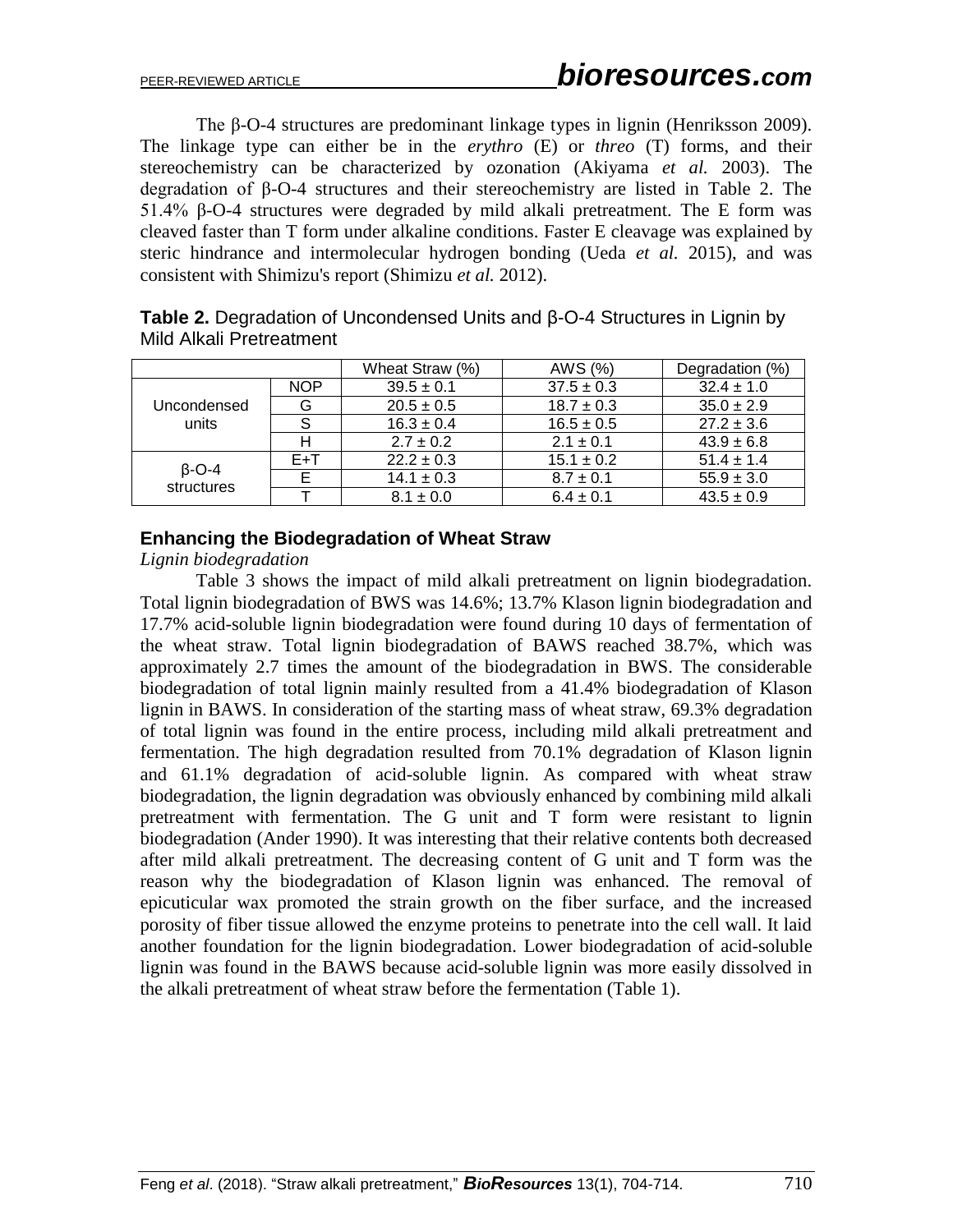The β-O-4 structures are predominant linkage types in lignin (Henriksson 2009). The linkage type can either be in the *erythro* (E) or *threo* (T) forms, and their stereochemistry can be characterized by ozonation (Akiyama *et al.* 2003). The degradation of β-O-4 structures and their stereochemistry are listed in Table 2. The 51.4% β-O-4 structures were degraded by mild alkali pretreatment. The E form was cleaved faster than T form under alkaline conditions. Faster E cleavage was explained by steric hindrance and intermolecular hydrogen bonding (Ueda *et al.* 2015), and was consistent with Shimizu's report (Shimizu *et al.* 2012).

|                            |            | Wheat Straw (%) | AWS (%)        | Degradation (%) |
|----------------------------|------------|-----------------|----------------|-----------------|
|                            | <b>NOP</b> | $39.5 \pm 0.1$  | $37.5 \pm 0.3$ | $32.4 \pm 1.0$  |
| Uncondensed                | G          | $20.5 \pm 0.5$  | $18.7 \pm 0.3$ | $35.0 \pm 2.9$  |
| units                      | S          | $16.3 \pm 0.4$  | $16.5 \pm 0.5$ | $27.2 \pm 3.6$  |
|                            | н          | $2.7 \pm 0.2$   | $2.1 \pm 0.1$  | $43.9 \pm 6.8$  |
|                            | $E+T$      | $22.2 \pm 0.3$  | $15.1 \pm 0.2$ | $51.4 \pm 1.4$  |
| $\beta$ -O-4<br>structures |            | $14.1 \pm 0.3$  | $8.7 \pm 0.1$  | $55.9 \pm 3.0$  |
|                            |            | $8.1 \pm 0.0$   | $6.4 \pm 0.1$  | $43.5 \pm 0.9$  |

**Table 2.** Degradation of Uncondensed Units and β-O-4 Structures in Lignin by Mild Alkali Pretreatment

### **Enhancing the Biodegradation of Wheat Straw**

*Lignin biodegradation*

Table 3 shows the impact of mild alkali pretreatment on lignin biodegradation. Total lignin biodegradation of BWS was 14.6%; 13.7% Klason lignin biodegradation and 17.7% acid-soluble lignin biodegradation were found during 10 days of fermentation of the wheat straw. Total lignin biodegradation of BAWS reached 38.7%, which was approximately 2.7 times the amount of the biodegradation in BWS. The considerable biodegradation of total lignin mainly resulted from a 41.4% biodegradation of Klason lignin in BAWS. In consideration of the starting mass of wheat straw, 69.3% degradation of total lignin was found in the entire process, including mild alkali pretreatment and fermentation. The high degradation resulted from 70.1% degradation of Klason lignin and 61.1% degradation of acid-soluble lignin. As compared with wheat straw biodegradation, the lignin degradation was obviously enhanced by combining mild alkali pretreatment with fermentation. The G unit and T form were resistant to lignin biodegradation (Ander 1990). It was interesting that their relative contents both decreased after mild alkali pretreatment. The decreasing content of G unit and T form was the reason why the biodegradation of Klason lignin was enhanced. The removal of epicuticular wax promoted the strain growth on the fiber surface, and the increased porosity of fiber tissue allowed the enzyme proteins to penetrate into the cell wall. It laid another foundation for the lignin biodegradation. Lower biodegradation of acid-soluble lignin was found in the BAWS because acid-soluble lignin was more easily dissolved in the alkali pretreatment of wheat straw before the fermentation (Table 1).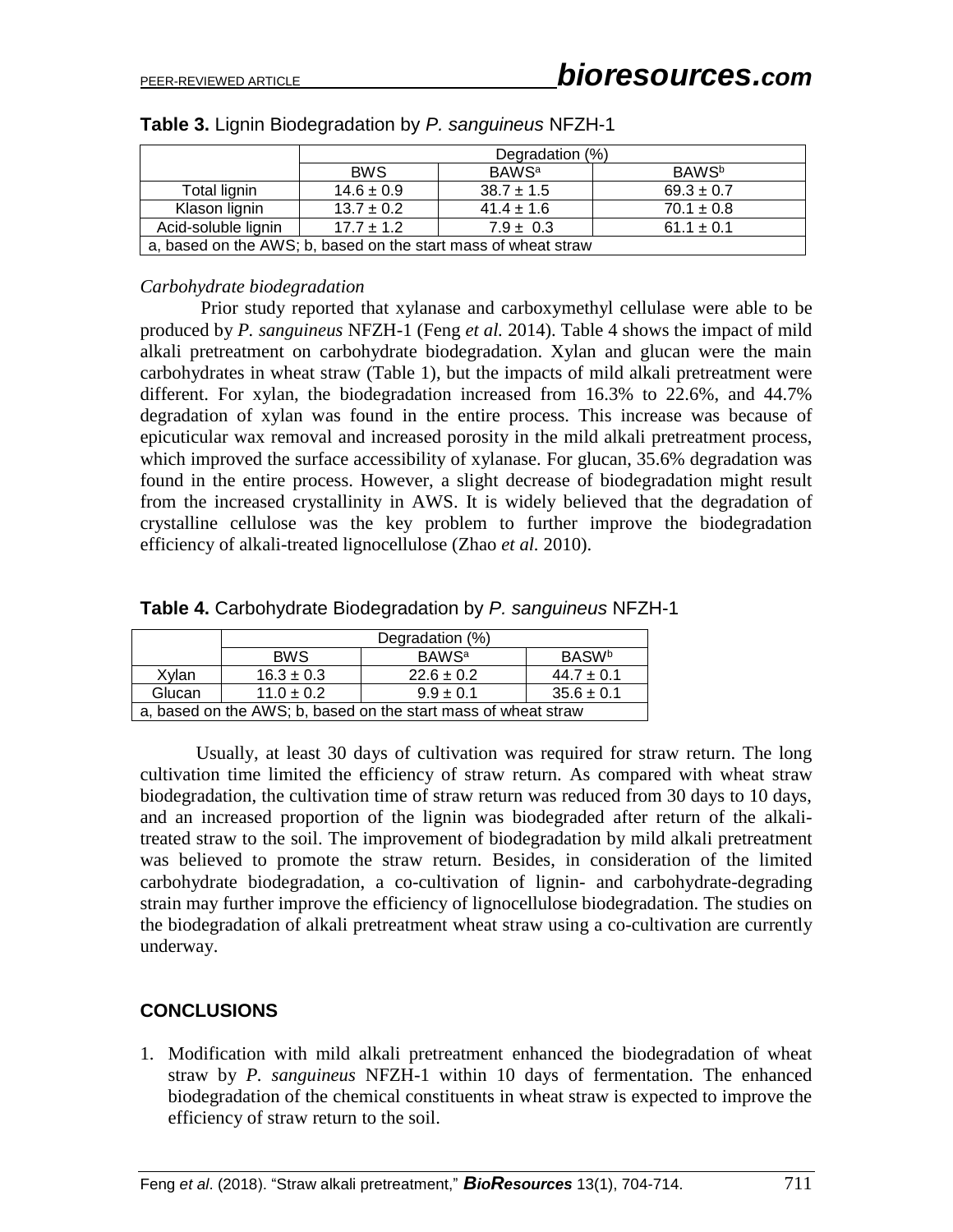|                                                                | Degradation (%) |                         |                          |
|----------------------------------------------------------------|-----------------|-------------------------|--------------------------|
|                                                                | <b>BWS</b>      | <b>BAWS<sup>a</sup></b> | <b>BAWS</b> <sup>b</sup> |
| Total lignin                                                   | $14.6 \pm 0.9$  | $38.7 \pm 1.5$          | $69.3 \pm 0.7$           |
| Klason lignin                                                  | $13.7 \pm 0.2$  | $41.4 \pm 1.6$          | $70.1 \pm 0.8$           |
| Acid-soluble lignin                                            | $17.7 + 1.2$    | $7.9 \pm 0.3$           | $61.1 \pm 0.1$           |
| a, based on the AWS; b, based on the start mass of wheat straw |                 |                         |                          |

|  | Table 3. Lignin Biodegradation by P. sanguineus NFZH-1 |  |
|--|--------------------------------------------------------|--|
|  |                                                        |  |

### *Carbohydrate biodegradation*

Prior study reported that xylanase and carboxymethyl cellulase were able to be produced by *P. sanguineus* NFZH-1 (Feng *et al.* 2014). Table 4 shows the impact of mild alkali pretreatment on carbohydrate biodegradation. Xylan and glucan were the main carbohydrates in wheat straw (Table 1), but the impacts of mild alkali pretreatment were different. For xylan, the biodegradation increased from 16.3% to 22.6%, and 44.7% degradation of xylan was found in the entire process. This increase was because of epicuticular wax removal and increased porosity in the mild alkali pretreatment process, which improved the surface accessibility of xylanase. For glucan, 35.6% degradation was found in the entire process. However, a slight decrease of biodegradation might result from the increased crystallinity in AWS. It is widely believed that the degradation of crystalline cellulose was the key problem to further improve the biodegradation efficiency of alkali-treated lignocellulose (Zhao *et al.* 2010).

|                                                                | Degradation (%) |                         |                |  |
|----------------------------------------------------------------|-----------------|-------------------------|----------------|--|
|                                                                | <b>BWS</b>      | <b>BAWS<sup>a</sup></b> | <b>BASWb</b>   |  |
| Xvlan                                                          | $16.3 \pm 0.3$  | $22.6 \pm 0.2$          | $44.7 \pm 0.1$ |  |
| Glucan                                                         | $11.0 \pm 0.2$  | $9.9 \pm 0.1$           | $35.6 \pm 0.1$ |  |
| a, based on the AWS; b, based on the start mass of wheat straw |                 |                         |                |  |

| Table 4. Carbohydrate Biodegradation by P. sanguineus NFZH-1 |  |  |
|--------------------------------------------------------------|--|--|
|                                                              |  |  |

Usually, at least 30 days of cultivation was required for straw return. The long cultivation time limited the efficiency of straw return. As compared with wheat straw biodegradation, the cultivation time of straw return was reduced from 30 days to 10 days, and an increased proportion of the lignin was biodegraded after return of the alkalitreated straw to the soil. The improvement of biodegradation by mild alkali pretreatment was believed to promote the straw return. Besides, in consideration of the limited carbohydrate biodegradation, a co-cultivation of lignin- and carbohydrate-degrading strain may further improve the efficiency of lignocellulose biodegradation. The studies on the biodegradation of alkali pretreatment wheat straw using a co-cultivation are currently underway.

## **CONCLUSIONS**

1. Modification with mild alkali pretreatment enhanced the biodegradation of wheat straw by *P. sanguineus* NFZH-1 within 10 days of fermentation. The enhanced biodegradation of the chemical constituents in wheat straw is expected to improve the efficiency of straw return to the soil.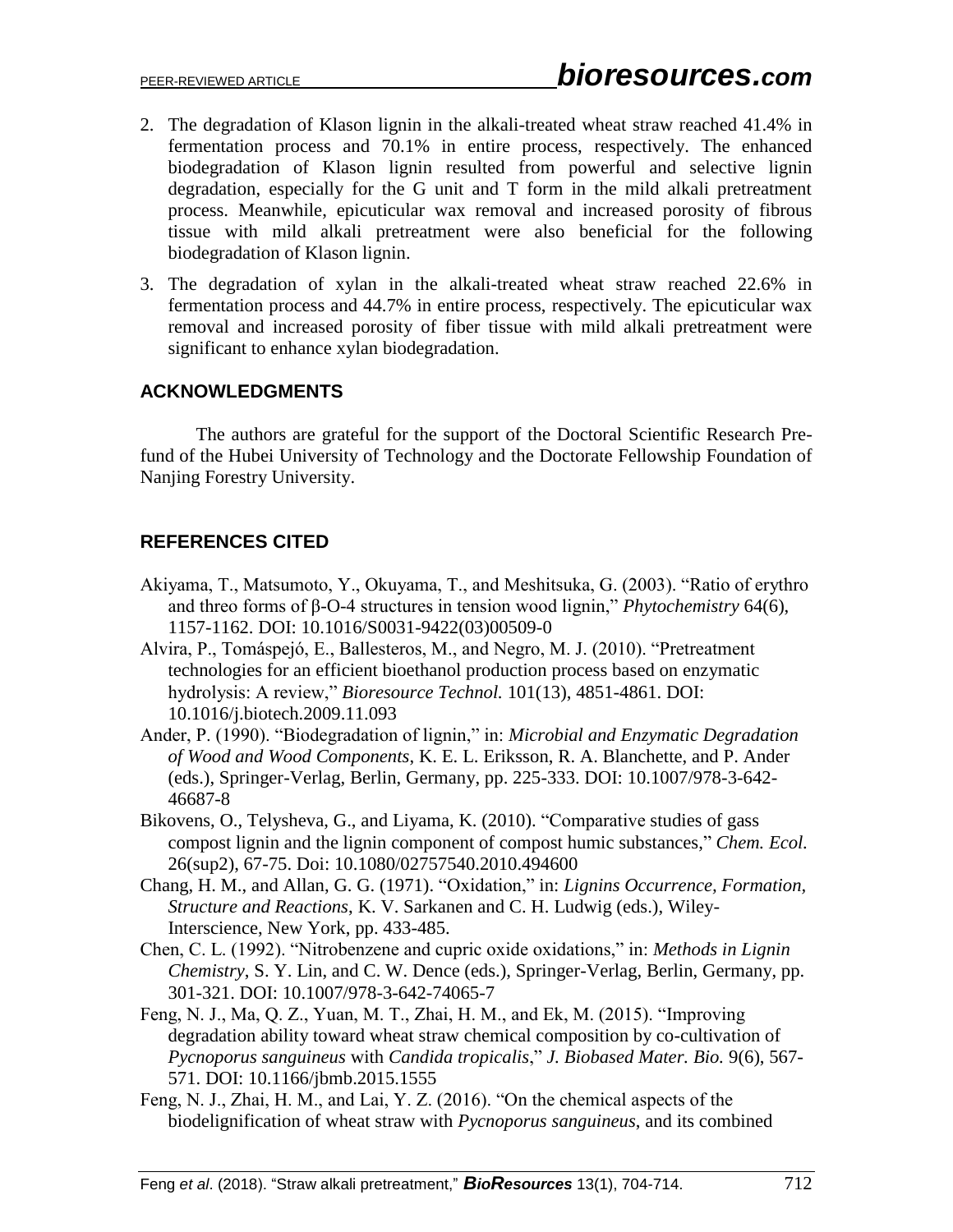- 2. The degradation of Klason lignin in the alkali-treated wheat straw reached 41.4% in fermentation process and 70.1% in entire process, respectively. The enhanced biodegradation of Klason lignin resulted from powerful and selective lignin degradation, especially for the G unit and T form in the mild alkali pretreatment process. Meanwhile, epicuticular wax removal and increased porosity of fibrous tissue with mild alkali pretreatment were also beneficial for the following biodegradation of Klason lignin.
- 3. The degradation of xylan in the alkali-treated wheat straw reached 22.6% in fermentation process and 44.7% in entire process, respectively. The epicuticular wax removal and increased porosity of fiber tissue with mild alkali pretreatment were significant to enhance xylan biodegradation.

## **ACKNOWLEDGMENTS**

The authors are grateful for the support of the Doctoral Scientific Research Prefund of the Hubei University of Technology and the Doctorate Fellowship Foundation of Nanjing Forestry University.

# **REFERENCES CITED**

- Akiyama, T., Matsumoto, Y., Okuyama, T., and Meshitsuka, G. (2003). "Ratio of erythro and threo forms of β-O-4 structures in tension wood lignin," *Phytochemistry* 64(6), 1157-1162. DOI: 10.1016/S0031-9422(03)00509-0
- Alvira, P., Tomáspejó, E., Ballesteros, M., and Negro, M. J. (2010). "Pretreatment technologies for an efficient bioethanol production process based on enzymatic hydrolysis: A review," *Bioresource Technol.* 101(13), 4851-4861. DOI: 10.1016/j.biotech.2009.11.093
- Ander, P. (1990). "Biodegradation of lignin," in: *Microbial and Enzymatic Degradation of Wood and Wood Components*, K. E. L. Eriksson, R. A. Blanchette, and P. Ander (eds.), Springer-Verlag, Berlin, Germany, pp. 225-333. DOI: 10.1007/978-3-642- 46687-8
- Bikovens, O., Telysheva, G., and Liyama, K. (2010). "Comparative studies of gass compost lignin and the lignin component of compost humic substances," *Chem. Ecol.*  26(sup2), 67-75. Doi: 10.1080/02757540.2010.494600
- Chang, H. M., and Allan, G. G. (1971). "Oxidation," in: *Lignins Occurrence, Formation, Structure and Reactions*, K. V. Sarkanen and C. H. Ludwig (eds.), Wiley-Interscience, New York, pp. 433-485.
- Chen, C. L. (1992). "Nitrobenzene and cupric oxide oxidations," in: *Methods in Lignin Chemistry*, S. Y. Lin, and C. W. Dence (eds.), Springer-Verlag, Berlin, Germany, pp. 301-321. DOI: 10.1007/978-3-642-74065-7
- Feng, N. J., Ma, Q. Z., Yuan, M. T., Zhai, H. M., and Ek, M. (2015). "Improving degradation ability toward wheat straw chemical composition by co-cultivation of *Pycnoporus sanguineus* with *Candida tropicalis*," *J. Biobased Mater. Bio.* 9(6), 567- 571. DOI: 10.1166/jbmb.2015.1555
- Feng, N. J., Zhai, H. M., and Lai, Y. Z. (2016). "On the chemical aspects of the biodelignification of wheat straw with *Pycnoporus sanguineus*, and its combined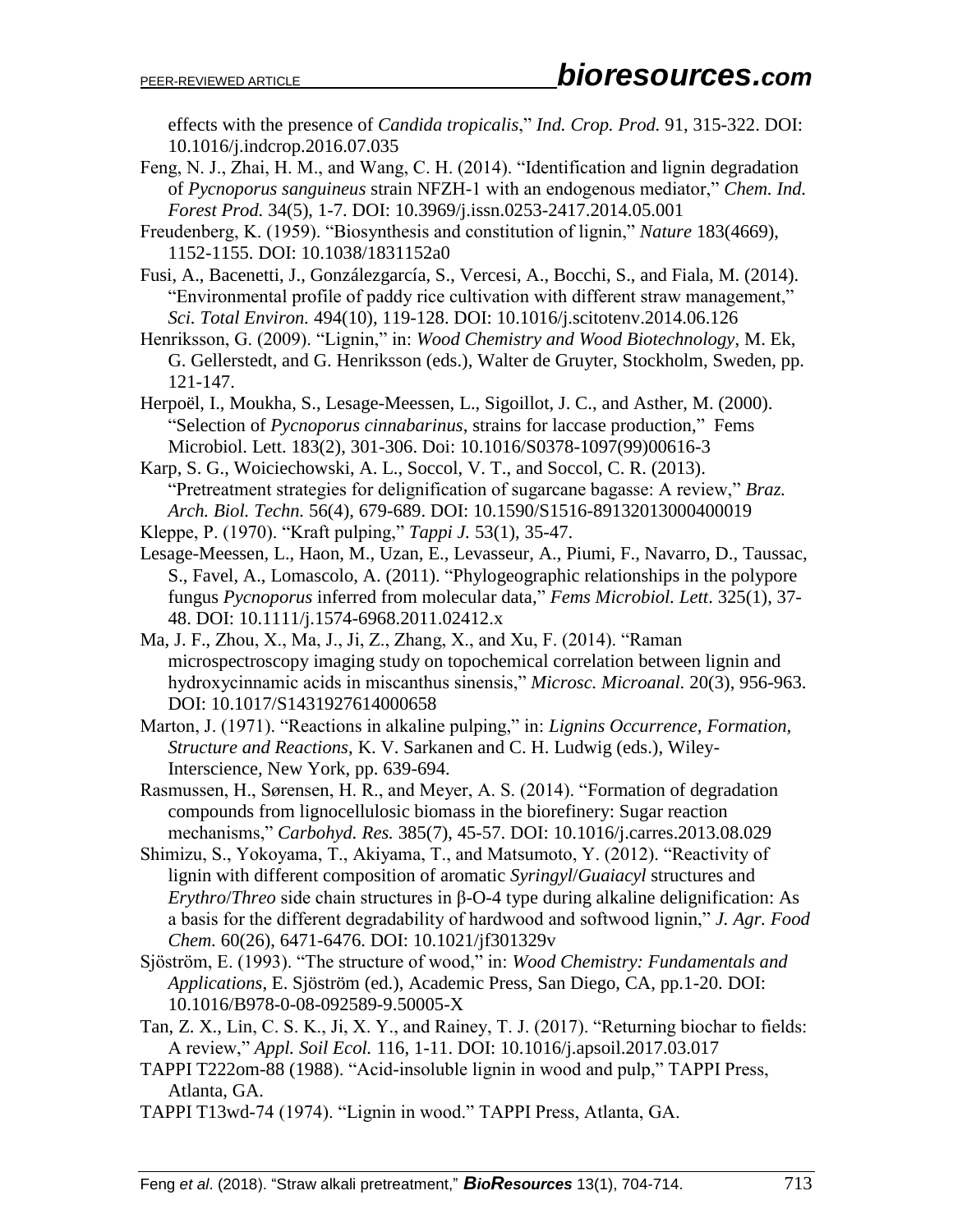effects with the presence of *Candida tropicalis*," *Ind. Crop. Prod.* 91, 315-322. DOI: 10.1016/j.indcrop.2016.07.035

- Feng, N. J., Zhai, H. M., and Wang, C. H. (2014). "Identification and lignin degradation of *Pycnoporus sanguineus* strain NFZH-1 with an endogenous mediator," *Chem. Ind. Forest Prod.* 34(5), 1-7. DOI: 10.3969/j.issn.0253-2417.2014.05.001
- Freudenberg, K. (1959). "Biosynthesis and constitution of lignin," *Nature* 183(4669), 1152-1155. DOI: 10.1038/1831152a0
- Fusi, A., Bacenetti, J., Gonzálezgarcía, S., Vercesi, A., Bocchi, S., and Fiala, M. (2014). "Environmental profile of paddy rice cultivation with different straw management," *Sci. Total Environ.* 494(10), 119-128. DOI: 10.1016/j.scitotenv.2014.06.126
- Henriksson, G. (2009). "Lignin," in: *Wood Chemistry and Wood Biotechnology*, M. Ek, G. Gellerstedt, and G. Henriksson (eds.), Walter de Gruyter, Stockholm, Sweden, pp. 121-147.
- Herpoël, I., Moukha, S., Lesage-Meessen, L., Sigoillot, J. C., and Asther, M. (2000). "Selection of *Pycnoporus cinnabarinus*, strains for laccase production," Fems Microbiol. Lett. 183(2), 301-306. Doi: 10.1016/S0378-1097(99)00616-3
- Karp, S. G., Woiciechowski, A. L., Soccol, V. T., and Soccol, C. R. (2013). "Pretreatment strategies for delignification of sugarcane bagasse: A review," *Braz. Arch. Biol. Techn.* 56(4), 679-689. DOI: 10.1590/S1516-89132013000400019
- Kleppe, P. (1970). "Kraft pulping," *Tappi J.* 53(1), 35-47.
- Lesage-Meessen, L., Haon, M., Uzan, E., Levasseur, A., Piumi, F., Navarro, D., Taussac, S., Favel, A., Lomascolo, A. (2011). "Phylogeographic relationships in the polypore fungus *Pycnoporus* inferred from molecular data," *Fems Microbiol. Lett*. 325(1), 37- 48. DOI: 10.1111/j.1574-6968.2011.02412.x
- Ma, J. F., Zhou, X., Ma, J., Ji, Z., Zhang, X., and Xu, F. (2014). "Raman microspectroscopy imaging study on topochemical correlation between lignin and hydroxycinnamic acids in miscanthus sinensis," *Microsc. Microanal.* 20(3), 956-963. DOI: 10.1017/S1431927614000658
- Marton, J. (1971). "Reactions in alkaline pulping," in: *Lignins Occurrence, Formation, Structure and Reactions*, K. V. Sarkanen and C. H. Ludwig (eds.), Wiley-Interscience, New York, pp. 639-694.
- Rasmussen, H., Sørensen, H. R., and Meyer, A. S. (2014). "Formation of degradation compounds from lignocellulosic biomass in the biorefinery: Sugar reaction mechanisms," *Carbohyd. Res.* 385(7), 45-57. DOI: 10.1016/j.carres.2013.08.029
- Shimizu, S., Yokoyama, T., Akiyama, T., and Matsumoto, Y. (2012). "Reactivity of lignin with different composition of aromatic *Syringyl*/*Guaiacyl* structures and *Erythro*/*Threo* side chain structures in β-O-4 type during alkaline delignification: As a basis for the different degradability of hardwood and softwood lignin," *J. Agr. Food Chem.* 60(26), 6471-6476. DOI: 10.1021/jf301329v
- Sjöström, E. (1993). "The structure of wood," in: *Wood Chemistry: Fundamentals and Applications*, E. Sjöström (ed.), Academic Press, San Diego, CA, pp.1-20. DOI: 10.1016/B978-0-08-092589-9.50005-X
- Tan, Z. X., Lin, C. S. K., Ji, X. Y., and Rainey, T. J. (2017). "Returning biochar to fields: A review," *Appl. Soil Ecol.* 116, 1-11. DOI: 10.1016/j.apsoil.2017.03.017
- TAPPI T222om-88 (1988). "Acid-insoluble lignin in wood and pulp," TAPPI Press, Atlanta, GA.
- TAPPI T13wd-74 (1974). "Lignin in wood." TAPPI Press, Atlanta, GA.